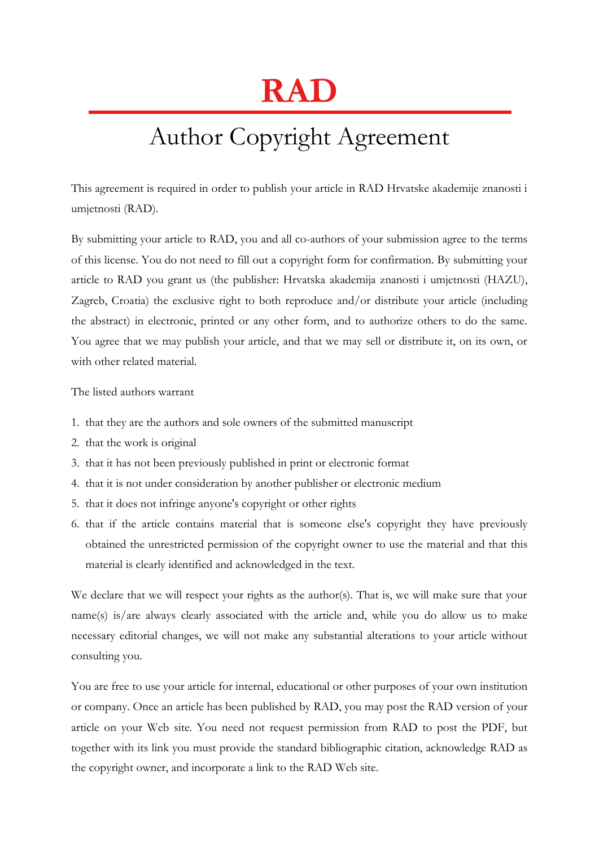## **RAD**

## Author Copyright Agreement

This agreement is required in order to publish your article in RAD Hrvatske akademije znanosti i umjetnosti (RAD).

By submitting your article to RAD, you and all co-authors of your submission agree to the terms of this license. You do not need to fill out a copyright form for confirmation. By submitting your article to RAD you grant us (the publisher: Hrvatska akademija znanosti i umjetnosti (HAZU), Zagreb, Croatia) the exclusive right to both reproduce and/or distribute your article (including the abstract) in electronic, printed or any other form, and to authorize others to do the same. You agree that we may publish your article, and that we may sell or distribute it, on its own, or with other related material.

The listed authors warrant

- 1. that they are the authors and sole owners of the submitted manuscript
- 2. that the work is original
- 3. that it has not been previously published in print or electronic format
- 4. that it is not under consideration by another publisher or electronic medium
- 5. that it does not infringe anyone's copyright or other rights
- 6. that if the article contains material that is someone else's copyright they have previously obtained the unrestricted permission of the copyright owner to use the material and that this material is clearly identified and acknowledged in the text.

We declare that we will respect your rights as the author(s). That is, we will make sure that your name(s) is/are always clearly associated with the article and, while you do allow us to make necessary editorial changes, we will not make any substantial alterations to your article without consulting you.

You are free to use your article for internal, educational or other purposes of your own institution or company. Once an article has been published by RAD, you may post the RAD version of your article on your Web site. You need not request permission from RAD to post the PDF, but together with its link you must provide the standard bibliographic citation, acknowledge RAD as the copyright owner, and incorporate a link to the RAD Web site.